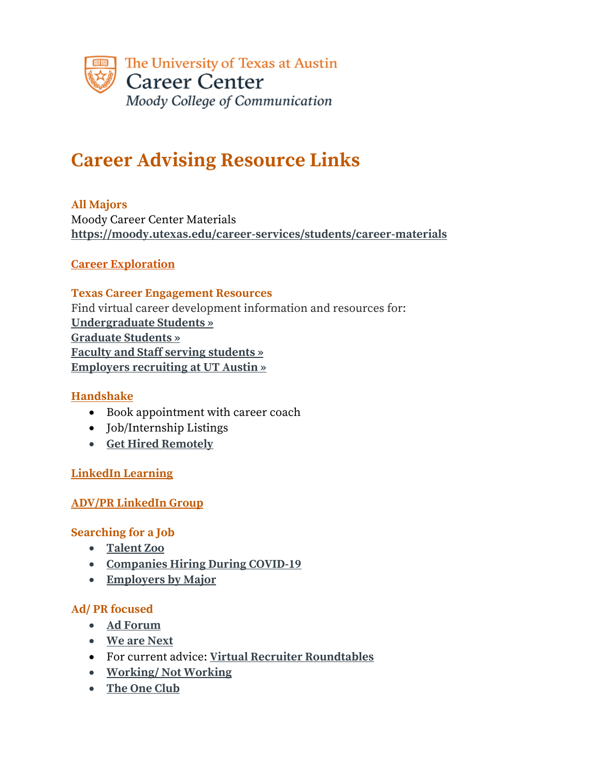

# **Career Advising Resource Links**

### **All Majors**

Moody Career Center Materials **https://moody.utexas.edu/career-services/students/career-materials**

### **Career Exploration**

### **Texas Career Engagement Resources** Find virtual career development information and resources for: **Undergraduate Students » Graduate Students » Faculty and Staff serving students » Employers recruiting at UT Austin »**

## **Handshake**

- Book appointment with career coach
- Job/Internship Listings
- **Get Hired Remotely**

### **LinkedIn Learning**

### **ADV/PR LinkedIn Group**

### **Searching for a Job**

- **Talent Zoo**
- **Companies Hiring During COVID-19**
- **Employers by Major**

### **Ad/ PR focused**

- **Ad Forum**
- **We are Next**
- For current advice: **Virtual Recruiter Roundtables**
- **Working/ Not Working**
- **The One Club**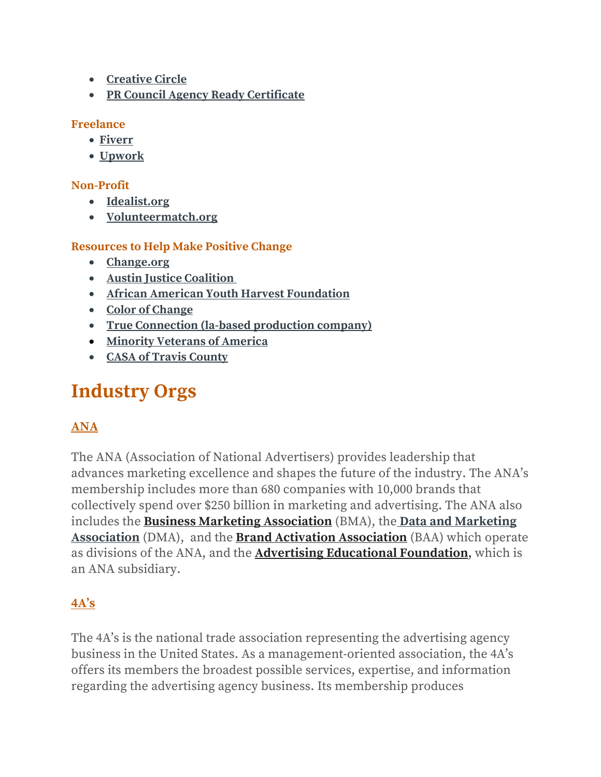- **Creative Circle**
- **PR Council Agency Ready Certificate**

### **Freelance**

- **Fiverr**
- **Upwork**

## **Non-Profit**

- **Idealist.org**
- **Volunteermatch.org**

## **Resources to Help Make Positive Change**

- **Change.org**
- **Austin Justice Coalition**
- **African American Youth Harvest Foundation**
- **Color of Change**
- **True Connection (la-based production company)**
- **Minority Veterans of America**
- **CASA of Travis County**

# **Industry Orgs**

# **ANA**

The ANA (Association of National Advertisers) provides leadership that advances marketing excellence and shapes the future of the industry. The ANA's membership includes more than 680 companies with 10,000 brands that collectively spend over \$250 billion in marketing and advertising. The ANA also includes the **Business Marketing Association** (BMA), the **Data and Marketing Association** (DMA), and the **Brand Activation Association** (BAA) which operate as divisions of the ANA, and the **Advertising Educational Foundation**, which is an ANA subsidiary.

# **4A's**

The 4A's is the national trade association representing the advertising agency business in the United States. As a management-oriented association, the 4A's offers its members the broadest possible services, expertise, and information regarding the advertising agency business. Its membership produces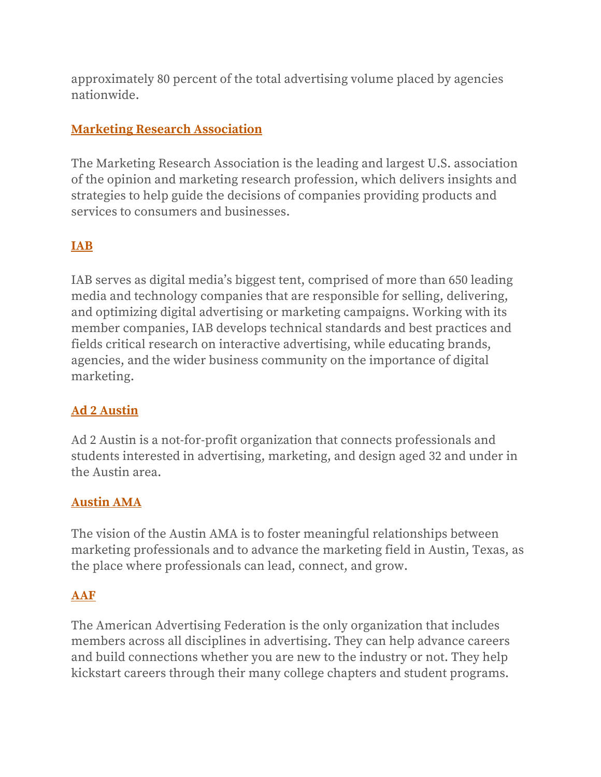approximately 80 percent of the total advertising volume placed by agencies nationwide.

## **Marketing Research Association**

The Marketing Research Association is the leading and largest U.S. association of the opinion and marketing research profession, which delivers insights and strategies to help guide the decisions of companies providing products and services to consumers and businesses.

# **IAB**

IAB serves as digital media's biggest tent, comprised of more than 650 leading media and technology companies that are responsible for selling, delivering, and optimizing digital advertising or marketing campaigns. Working with its member companies, IAB develops technical standards and best practices and fields critical research on interactive advertising, while educating brands, agencies, and the wider business community on the importance of digital marketing.

# **Ad 2 Austin**

Ad 2 Austin is a not-for-profit organization that connects professionals and students interested in advertising, marketing, and design aged 32 and under in the Austin area.

# **Austin AMA**

The vision of the Austin AMA is to foster meaningful relationships between marketing professionals and to advance the marketing field in Austin, Texas, as the place where professionals can lead, connect, and grow.

# **AAF**

The American Advertising Federation is the only organization that includes members across all disciplines in advertising. They can help advance careers and build connections whether you are new to the industry or not. They help kickstart careers through their many college chapters and student programs.